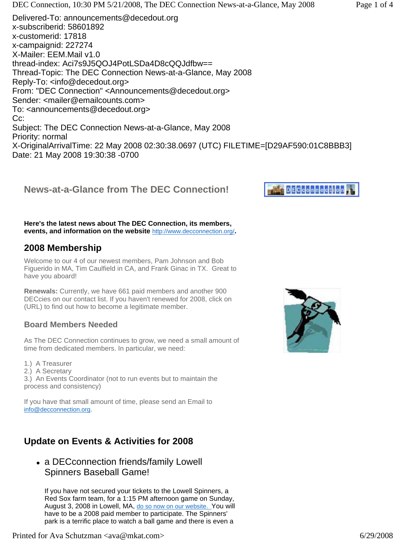Subject: The DEC Connection News-at-a-Glance, May 2008 Priority: normal X-OriginalArrivalTime: 22 May 2008 02:30:38.0697 (UTC) FILETIME=[D29AF590:01C8BBB3] Date: 21 May 2008 19:30:38 -0700

### **News-at-a-Glance from The DEC Connection!**

**Here's the latest news about The DEC Connection, its members, events, and information on the website** <http://www.decconnection.org/>**.**

#### **2008 Membership**

Welcome to our 4 of our newest members, Pam Johnson and Bob Figuerido in MA, Tim Caulfield in CA, and Frank Ginac in TX. Great to have you aboard!

**Renewals:** Currently, we have 661 paid members and another 900 DECcies on our contact list. If you haven't renewed for 2008, click on (URL) to find out how to become a legitimate member.

#### **Board Members Needed**

As The DEC Connection continues to grow, we need a small amount of time from dedicated members. In particular, we need:

- 1.) A Treasurer
- 2.) A Secretary

3.) An Events Coordinator (not to run events but to maintain the process and consistency)

If you have that small amount of time, please send an Email to info@decconnection.org.

### **Update on Events & Activities for 2008**

• a DECconnection friends/family Lowell Spinners Baseball Game!

If you have not secured your tickets to the Lowell Spinners, a Red Sox farm team, for a 1:15 PM afternoon game on Sunday, August 3, 2008 in Lowell, MA, do so now on our website. You will have to be a 2008 paid member to participate. The Spinners' park is a terrific place to watch a ball game and there is even a



# **DECCODOCCIOO**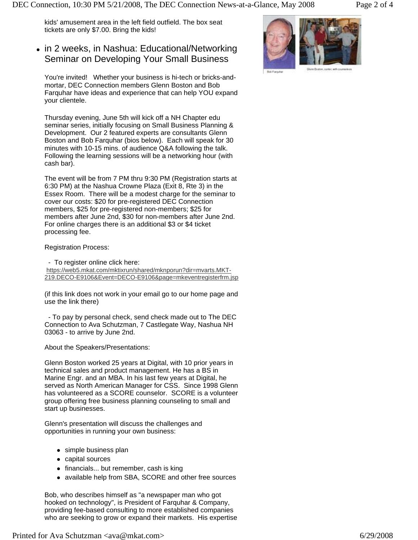kids' amusement area in the left field outfield. The box seat tickets are only \$7.00. Bring the kids!

#### • in 2 weeks, in Nashua: Educational/Networking Seminar on Developing Your Small Business

You're invited! Whether your business is hi-tech or bricks-andmortar, DEC Connection members Glenn Boston and Bob Farquhar have ideas and experience that can help YOU expand your clientele.

Thursday evening, June 5th will kick off a NH Chapter edu seminar series, initially focusing on Small Business Planning & Development. Our 2 featured experts are consultants Glenn Boston and Bob Farquhar (bios below). Each will speak for 30 minutes with 10-15 mins. of audience Q&A following the talk. Following the learning sessions will be a networking hour (with cash bar).

The event will be from 7 PM thru 9:30 PM (Registration starts at 6:30 PM) at the Nashua Crowne Plaza (Exit 8, Rte 3) in the Essex Room. There will be a modest charge for the seminar to cover our costs: \$20 for pre-registered DEC Connection members, \$25 for pre-registered non-members; \$25 for members after June 2nd, \$30 for non-members after June 2nd. For online charges there is an additional \$3 or \$4 ticket processing fee.

Registration Process:

- To register online click here:

<https://web5.mkat.com/mktixrun/shared/mknporun?dir=mvarts.MKT->219.DECO-E9106&Event=DECO-E9106&page=mkeventregisterfrm.jsp

(if this link does not work in your email go to our home page and use the link there)

 - To pay by personal check, send check made out to The DEC Connection to Ava Schutzman, 7 Castlegate Way, Nashua NH 03063 - to arrive by June 2nd.

About the Speakers/Presentations:

Glenn Boston worked 25 years at Digital, with 10 prior years in technical sales and product management. He has a BS in Marine Engr. and an MBA. In his last few years at Digital, he served as North American Manager for CSS. Since 1998 Glenn has volunteered as a SCORE counselor. SCORE is a volunteer group offering free business planning counseling to small and start up businesses.

Glenn's presentation will discuss the challenges and opportunities in running your own business:

- $\bullet$  simple business plan
- capital sources
- financials... but remember, cash is king
- available help from SBA, SCORE and other free sources

Bob, who describes himself as "a newspaper man who got hooked on technology", is President of Farquhar & Company, providing fee-based consulting to more established companies who are seeking to grow or expand their markets. His expertise

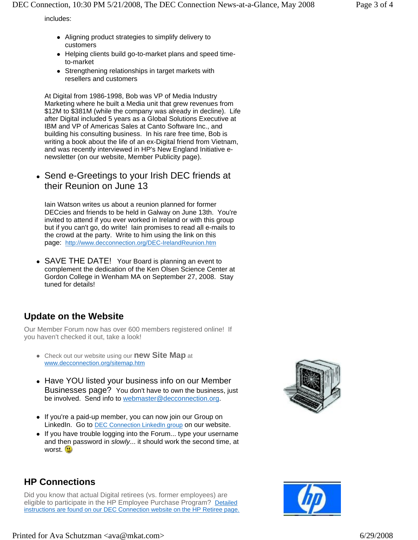includes:

- Aligning product strategies to simplify delivery to customers
- Helping clients build go-to-market plans and speed timeto-market
- Strengthening relationships in target markets with resellers and customers

At Digital from 1986-1998, Bob was VP of Media Industry Marketing where he built a Media unit that grew revenues from \$12M to \$381M (while the company was already in decline). Life after Digital included 5 years as a Global Solutions Executive at IBM and VP of Americas Sales at Canto Software Inc., and building his consulting business. In his rare free time, Bob is writing a book about the life of an ex-Digital friend from Vietnam, and was recently interviewed in HP's New England Initiative enewsletter (on our website, Member Publicity page).

• Send e-Greetings to your Irish DEC friends at their Reunion on June 13

Iain Watson writes us about a reunion planned for former DECcies and friends to be held in Galway on June 13th. You're invited to attend if you ever worked in Ireland or with this group but if you can't go, do write! Iain promises to read all e-mails to the crowd at the party. Write to him using the link on this page: <http://www.decconnection.org/DEC-IrelandReunion.htm>

• SAVE THE DATE! Your Board is planning an event to complement the dedication of the Ken Olsen Science Center at Gordon College in Wenham MA on September 27, 2008. Stay tuned for details!

## **Update on the Website**

Our Member Forum now has over 600 members registered online! If you haven't checked it out, take a look!

- Check out our website using our **new Site Map** at www.decconnection.org/sitemap.htm
- Have YOU listed your business info on our Member Businesses page? You don't have to own the business, just be involved. Send info to webmaster@decconnection.org.
- If you're a paid-up member, you can now join our Group on LinkedIn. Go to DEC Connection LinkedIn group on our website.
- $\bullet$  If you have trouble logging into the Forum... type your username and then password in *slowly*... it should work the second time, at worst.





## **HP Connections**

Did you know that actual Digital retirees (vs. former employees) are eligible to participate in the HP Employee Purchase Program? Detailed instructions are found on our DEC Connection website on the HP Retiree page.